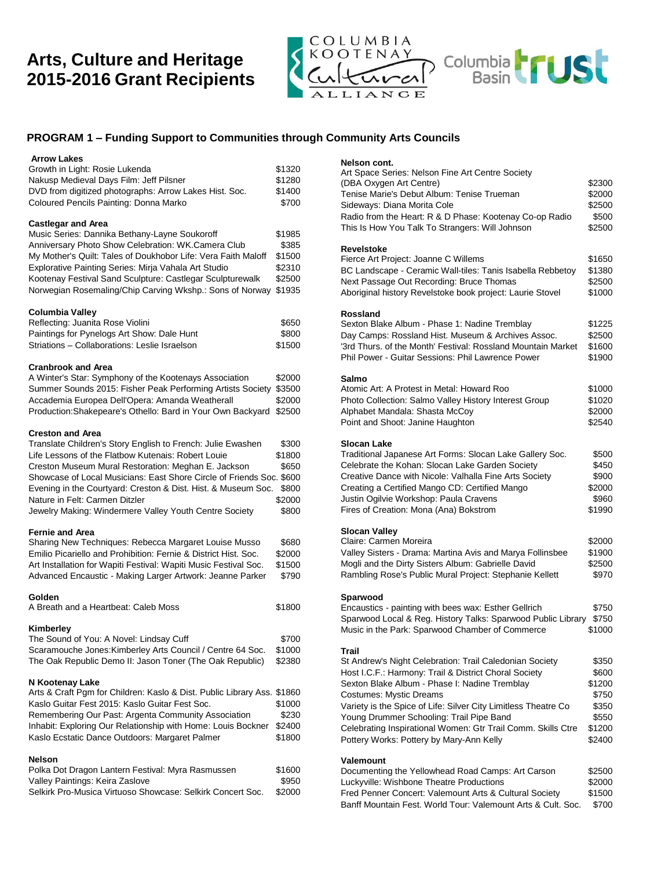# **Arts, Culture and Heritage 2015-2016 Grant Recipients**



# **PROGRAM 1 – Funding Support to Communities through Community Arts Councils**

| <b>Arrow Lakes</b><br>Growth in Light: Rosie Lukenda<br>Nakusp Medieval Days Film: Jeff Pilsner<br>DVD from digitized photographs: Arrow Lakes Hist. Soc.<br>Coloured Pencils Painting: Donna Marko                                                                                                                                                                                                                                      | \$1320<br>\$1280<br>\$1400<br>\$700                     |
|------------------------------------------------------------------------------------------------------------------------------------------------------------------------------------------------------------------------------------------------------------------------------------------------------------------------------------------------------------------------------------------------------------------------------------------|---------------------------------------------------------|
| <b>Castlegar and Area</b><br>Music Series: Dannika Bethany-Layne Soukoroff<br>Anniversary Photo Show Celebration: WK.Camera Club<br>My Mother's Quilt: Tales of Doukhobor Life: Vera Faith Maloff<br>Explorative Painting Series: Mirja Vahala Art Studio<br>Kootenay Festival Sand Sculpture: Castlegar Sculpturewalk<br>Norwegian Rosemaling/Chip Carving Wkshp.: Sons of Norway                                                       | \$1985<br>\$385<br>\$1500<br>\$2310<br>\$2500<br>\$1935 |
| Columbia Valley<br>Reflecting: Juanita Rose Violini<br>Paintings for Pynelogs Art Show: Dale Hunt<br>Striations - Collaborations: Leslie Israelson                                                                                                                                                                                                                                                                                       | \$650<br>\$800<br>\$1500                                |
| <b>Cranbrook and Area</b><br>A Winter's Star: Symphony of the Kootenays Association<br>Summer Sounds 2015: Fisher Peak Performing Artists Society<br>Accademia Europea Dell'Opera: Amanda Weatherall<br>Production: Shakepeare's Othello: Bard in Your Own Backyard                                                                                                                                                                      | \$2000<br>\$3500<br>\$2000<br>\$2500                    |
| <b>Creston and Area</b><br>Translate Children's Story English to French: Julie Ewashen<br>Life Lessons of the Flatbow Kutenais: Robert Louie<br>Creston Museum Mural Restoration: Meghan E. Jackson<br>Showcase of Local Musicians: East Shore Circle of Friends Soc. \$600<br>Evening in the Courtyard: Creston & Dist. Hist. & Museum Soc.<br>Nature in Felt: Carmen Ditzler<br>Jewelry Making: Windermere Valley Youth Centre Society | \$300<br>\$1800<br>\$650<br>\$800<br>\$2000<br>\$800    |
| Fernie and Area<br>Sharing New Techniques: Rebecca Margaret Louise Musso<br>Emilio Picariello and Prohibition: Fernie & District Hist. Soc.<br>Art Installation for Wapiti Festival: Wapiti Music Festival Soc.<br>Advanced Encaustic - Making Larger Artwork: Jeanne Parker                                                                                                                                                             | \$680<br>\$2000<br>\$1500<br>\$790                      |
| Golden<br>A Breath and a Heartbeat: Caleb Moss                                                                                                                                                                                                                                                                                                                                                                                           | \$1800                                                  |
| Kimberley<br>The Sound of You: A Novel: Lindsay Cuff<br>Scaramouche Jones: Kimberley Arts Council / Centre 64 Soc.<br>The Oak Republic Demo II: Jason Toner (The Oak Republic)                                                                                                                                                                                                                                                           | \$700<br>\$1000<br>\$2380                               |
| N Kootenay Lake<br>Arts & Craft Pgm for Children: Kaslo & Dist. Public Library Ass. \$1860<br>Kaslo Guitar Fest 2015: Kaslo Guitar Fest Soc.<br>Remembering Our Past: Argenta Community Association<br>Inhabit: Exploring Our Relationship with Home: Louis Bockner<br>Kaslo Ecstatic Dance Outdoors: Margaret Palmer                                                                                                                    | \$1000<br>\$230<br>\$2400<br>\$1800                     |
| <b>Nelson</b><br>Polka Dot Dragon Lantern Festival: Myra Rasmussen<br>Valley Paintings: Keira Zaslove<br>Selkirk Pro-Musica Virtuoso Showcase: Selkirk Concert Soc.                                                                                                                                                                                                                                                                      | \$1600<br>\$950<br>\$2000                               |

#### **Nelson cont.**

| Nelson cont.                                                                                               |                 |
|------------------------------------------------------------------------------------------------------------|-----------------|
| Art Space Series: Nelson Fine Art Centre Society                                                           |                 |
| (DBA Oxygen Art Centre)                                                                                    | \$2300          |
| Tenise Marie's Debut Album: Tenise Trueman                                                                 | \$2000          |
| Sideways: Diana Morita Cole                                                                                | \$2500          |
| Radio from the Heart: R & D Phase: Kootenay Co-op Radio<br>This Is How You Talk To Strangers: Will Johnson | \$500<br>\$2500 |
|                                                                                                            |                 |
| <b>Revelstoke</b>                                                                                          |                 |
| Fierce Art Project: Joanne C Willems                                                                       | \$1650          |
| BC Landscape - Ceramic Wall-tiles: Tanis Isabella Rebbetoy                                                 | \$1380          |
| Next Passage Out Recording: Bruce Thomas                                                                   | \$2500          |
| Aboriginal history Revelstoke book project: Laurie Stovel                                                  | \$1000          |
| <b>Rossland</b>                                                                                            |                 |
| Sexton Blake Album - Phase 1: Nadine Tremblay                                                              | \$1225          |
| Day Camps: Rossland Hist. Museum & Archives Assoc.                                                         | \$2500          |
| '3rd Thurs. of the Month' Festival: Rossland Mountain Market                                               | \$1600          |
| Phil Power - Guitar Sessions: Phil Lawrence Power                                                          | \$1900          |
| Salmo                                                                                                      |                 |
| Atomic Art: A Protest in Metal: Howard Roo                                                                 | \$1000          |
| Photo Collection: Salmo Valley History Interest Group                                                      | \$1020          |
| Alphabet Mandala: Shasta McCoy                                                                             | \$2000          |
| Point and Shoot: Janine Haughton                                                                           | \$2540          |
| <b>Slocan Lake</b>                                                                                         |                 |
| Traditional Japanese Art Forms: Slocan Lake Gallery Soc.                                                   | \$500           |
| Celebrate the Kohan: Slocan Lake Garden Society                                                            | \$450           |
| Creative Dance with Nicole: Valhalla Fine Arts Society                                                     | \$900           |
| Creating a Certified Mango CD: Certified Mango                                                             | \$2000          |
| Justin Ogilvie Workshop: Paula Cravens                                                                     | \$960           |
| Fires of Creation: Mona (Ana) Bokstrom                                                                     | \$1990          |
| <b>Slocan Valley</b>                                                                                       |                 |
| Claire: Carmen Moreira                                                                                     | \$2000          |
| Valley Sisters - Drama: Martina Avis and Marya Follinsbee                                                  | \$1900          |
| Mogli and the Dirty Sisters Album: Gabrielle David                                                         | \$2500          |
| Rambling Rose's Public Mural Project: Stephanie Kellett                                                    | \$970           |
| Sparwood                                                                                                   |                 |
| Encaustics - painting with bees wax: Esther Gellrich                                                       | \$750           |
| Sparwood Local & Reg. History Talks: Sparwood Public Library                                               | \$750           |
| Music in the Park: Sparwood Chamber of Commerce                                                            | \$1000          |
| Trail                                                                                                      |                 |
| St Andrew's Night Celebration: Trail Caledonian Society                                                    | \$350           |
| Host I.C.F.: Harmony: Trail & District Choral Society                                                      | \$600           |
| Sexton Blake Album - Phase I: Nadine Tremblay                                                              | \$1200          |
| <b>Costumes: Mystic Dreams</b>                                                                             | \$750           |
| Variety is the Spice of Life: Silver City Limitless Theatre Co                                             | \$350           |
| Young Drummer Schooling: Trail Pipe Band                                                                   | \$550           |
| Celebrating Inspirational Women: Gtr Trail Comm. Skills Ctre                                               | \$1200          |
| Pottery Works: Pottery by Mary-Ann Kelly                                                                   | \$2400          |
| Valemount                                                                                                  |                 |
| Documenting the Yellowhead Road Camps: Art Carson                                                          | \$2500          |
| Luckyville: Wishbone Theatre Productions                                                                   | \$2000          |
| Fred Penner Concert: Valemount Arts & Cultural Society                                                     | \$1500          |
| Banff Mountain Fest. World Tour: Valemount Arts & Cult. Soc.                                               | \$700           |